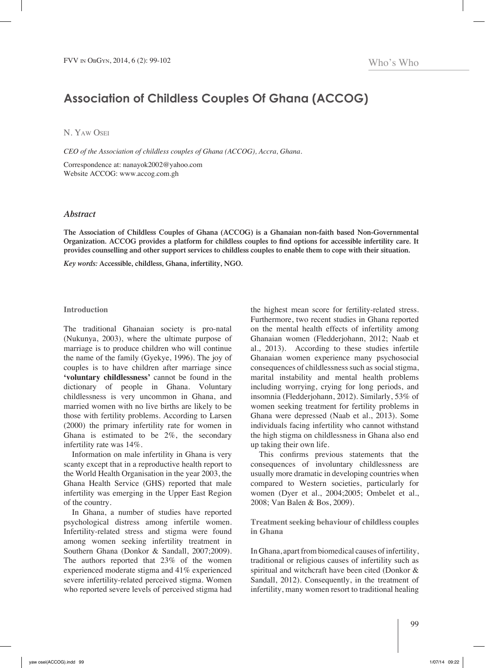# **Association of Childless Couples Of Ghana (ACCOG)**

## N. Yaw Osei

*CEO of the Association of childless couples of Ghana (ACCOG), Accra, Ghana.*

Correspondence at: nanayok2002@yahoo.com Website ACCOG: www.accog.com.gh

## *Abstract*

**The Association of Childless Couples of Ghana (ACCOG) is a Ghanaian non-faith based Non-Governmental Organization. ACCOG provides a platform for childless couples to find options for accessible infertility care. It provides counselling and other support services to childless couples to enable them to cope with their situation.** 

*Key words:* **Accessible, childless, Ghana, infertility, NGO.**

## **Introduction**

The traditional Ghanaian society is pro-natal (Nukunya, 2003), where the ultimate purpose of marriage is to produce children who will continue the name of the family (Gyekye, 1996). The joy of couples is to have children after marriage since **'voluntary childlessness'** cannot be found in the dictionary of people in Ghana. Voluntary childlessness is very uncommon in Ghana, and married women with no live births are likely to be those with fertility problems. According to Larsen (2000) the primary infertility rate for women in Ghana is estimated to be 2%, the secondary infertility rate was 14%.

Information on male infertility in Ghana is very scanty except that in a reproductive health report to the World Health Organisation in the year 2003, the Ghana Health Service (GHS) reported that male infertility was emerging in the Upper East Region of the country.

In Ghana, a number of studies have reported psychological distress among infertile women. Infertility-related stress and stigma were found among women seeking infertility treatment in Southern Ghana (Donkor & Sandall, 2007;2009). The authors reported that 23% of the women experienced moderate stigma and 41% experienced severe infertility-related perceived stigma. Women who reported severe levels of perceived stigma had

the highest mean score for fertility-related stress. Furthermore, two recent studies in Ghana reported on the mental health effects of infertility among Ghanaian women (Fledderjohann, 2012; Naab et al., 2013). According to these studies infertile Ghanaian women experience many psychosocial consequences of childlessness such as social stigma, marital instability and mental health problems including worrying, crying for long periods, and insomnia (Fledderjohann, 2012). Similarly, 53% of women seeking treatment for fertility problems in Ghana were depressed (Naab et al., 2013). Some individuals facing infertility who cannot withstand the high stigma on childlessness in Ghana also end up taking their own life.

This confirms previous statements that the consequences of involuntary childlessness are usually more dramatic in developing countries when compared to Western societies, particularly for women (Dyer et al., 2004;2005; Ombelet et al., 2008; Van Balen & Bos, 2009).

**Treatment seeking behaviour of childless couples in Ghana** 

In Ghana, apart from biomedical causes of infertility, traditional or religious causes of infertility such as spiritual and witchcraft have been cited (Donkor & Sandall, 2012). Consequently, in the treatment of infertility, many women resort to traditional healing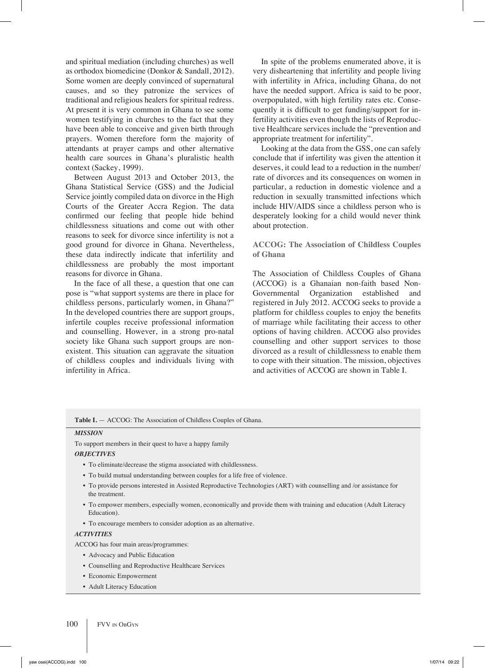and spiritual mediation (including churches) as well as orthodox biomedicine (Donkor & Sandall, 2012). Some women are deeply convinced of supernatural causes, and so they patronize the services of traditional and religious healers for spiritual redress. At present it is very common in Ghana to see some women testifying in churches to the fact that they have been able to conceive and given birth through prayers. Women therefore form the majority of attendants at prayer camps and other alternative health care sources in Ghana's pluralistic health context (Sackey, 1999).

Between August 2013 and October 2013, the Ghana Statistical Service (GSS) and the Judicial Service jointly compiled data on divorce in the High Courts of the Greater Accra Region. The data confirmed our feeling that people hide behind childlessness situations and come out with other reasons to seek for divorce since infertility is not a good ground for divorce in Ghana. Nevertheless, these data indirectly indicate that infertility and childlessness are probably the most important reasons for divorce in Ghana.

In the face of all these, a question that one can pose is "what support systems are there in place for childless persons, particularly women, in Ghana?" In the developed countries there are support groups, infertile couples receive professional information and counselling. However, in a strong pro-natal society like Ghana such support groups are nonexistent. This situation can aggravate the situation of childless couples and individuals living with infertility in Africa.

In spite of the problems enumerated above, it is very disheartening that infertility and people living with infertility in Africa, including Ghana, do not have the needed support. Africa is said to be poor, overpopulated, with high fertility rates etc. Consequently it is difficult to get funding/support for infertility activities even though the lists of Reproductive Healthcare services include the "prevention and appropriate treatment for infertility".

Looking at the data from the GSS, one can safely conclude that if infertility was given the attention it deserves, it could lead to a reduction in the number/ rate of divorces and its consequences on women in particular, a reduction in domestic violence and a reduction in sexually transmitted infections which include HIV/AIDS since a childless person who is desperately looking for a child would never think about protection.

**ACCOG: The Association of Childless Couples of Ghana**

The Association of Childless Couples of Ghana (ACCOG) is a Ghanaian non-faith based Non-Governmental Organization established and registered in July 2012. ACCOG seeks to provide a platform for childless couples to enjoy the benefits of marriage while facilitating their access to other options of having children. ACCOG also provides counselling and other support services to those divorced as a result of childlessness to enable them to cope with their situation. The mission, objectives and activities of ACCOG are shown in Table I.

**Table I.**  $-$  ACCOG: The Association of Childless Couples of Ghana.

### *MISSION*

To support members in their quest to have a happy family

### *OBJECTIVES*

- To eliminate/decrease the stigma associated with childlessness.
- To build mutual understanding between couples for a life free of violence.
- To provide persons interested in Assisted Reproductive Technologies (ART) with counselling and /or assistance for the treatment.
- To empower members, especially women, economically and provide them with training and education (Adult Literacy Education).
- To encourage members to consider adoption as an alternative.

### *ACTIVITIES*

ACCOG has four main areas/programmes:

- Advocacy and Public Education
- Counselling and Reproductive Healthcare Services
- Economic Empowerment
- Adult Literacy Education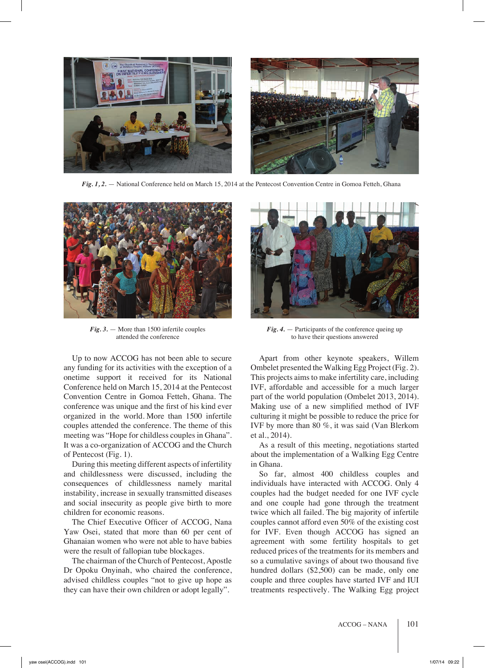

*Fig. 1, 2.* — National Conference held on March 15, 2014 at the Pentecost Convention Centre in Gomoa Fetteh, Ghana



*Fig. 3.* — More than 1500 infertile couples attended the conference

Up to now ACCOG has not been able to secure any funding for its activities with the exception of a onetime support it received for its National Conference held on March 15, 2014 at the Pentecost Convention Centre in Gomoa Fetteh, Ghana. The conference was unique and the first of his kind ever organized in the world. More than 1500 infertile couples attended the conference. The theme of this meeting was "Hope for childless couples in Ghana". It was a co-organization of ACCOG and the Church of Pentecost (Fig. 1).

During this meeting different aspects of infertility and childlessness were discussed, including the consequences of childlessness namely marital instability, increase in sexually transmitted diseases and social insecurity as people give birth to more children for economic reasons.

The Chief Executive Officer of ACCOG, Nana Yaw Osei, stated that more than 60 per cent of Ghanaian women who were not able to have babies were the result of fallopian tube blockages.

The chairman of the Church of Pentecost, Apostle Dr Opoku Onyinah, who chaired the conference, advised childless couples "not to give up hope as they can have their own children or adopt legally".



*Fig. 4.* — Participants of the conference queing up to have their questions answered

Apart from other keynote speakers, Willem Ombelet presented the Walking Egg Project (Fig. 2). This projects aims to make infertility care, including IVF, affordable and accessible for a much larger part of the world population (Ombelet 2013, 2014). Making use of a new simplified method of IVF culturing it might be possible to reduce the price for IVF by more than 80 %, it was said (Van Blerkom et al., 2014).

As a result of this meeting, negotiations started about the implementation of a Walking Egg Centre in Ghana.

So far, almost 400 childless couples and individuals have interacted with ACCOG. Only 4 couples had the budget needed for one IVF cycle and one couple had gone through the treatment twice which all failed. The big majority of infertile couples cannot afford even 50% of the existing cost for IVF. Even though ACCOG has signed an agreement with some fertility hospitals to get reduced prices of the treatments for its members and so a cumulative savings of about two thousand five hundred dollars (\$2,500) can be made, only one couple and three couples have started IVF and IUI treatments respectively. The Walking Egg project